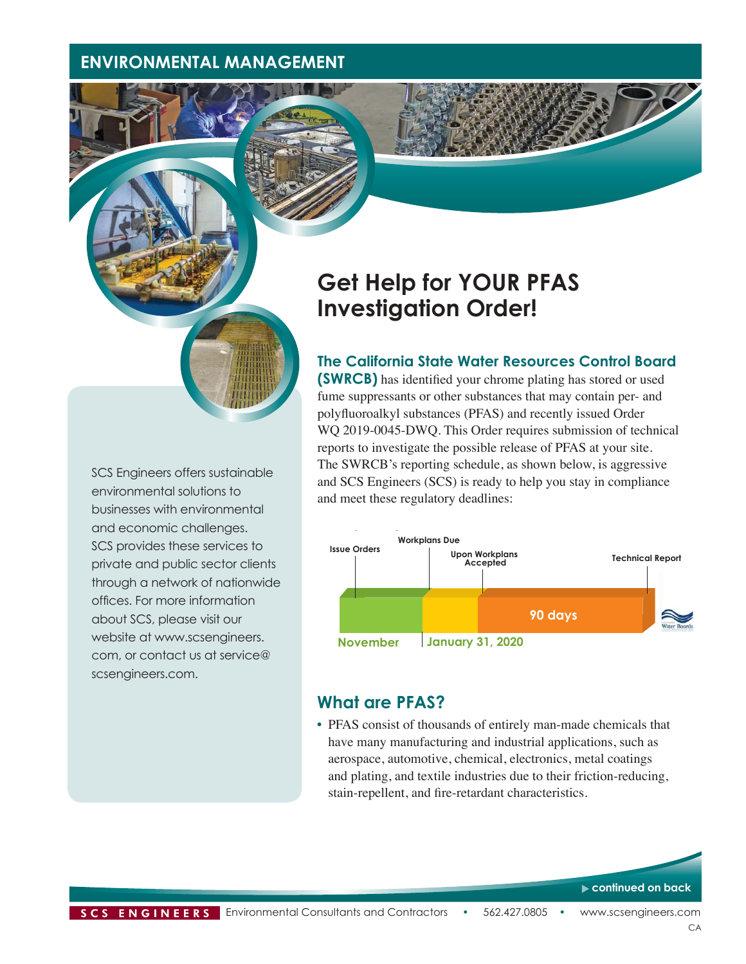## **ENVIRONMENTAL MANAGEMENT**

# **Get Help for YOUR PFAS Investigation Order!**

#### **The California State Water Resources Control Board**

**(SWRCB)** has identified your chrome plating has stored or used fume suppressants or other substances that may contain per- and polyfluoroalkyl substances (PFAS) and recently issued Order WO 2019-0045-DWO. This Order requires submission of technical reports to investigate the possible release of PFAS at your site. The SWRCB's reporting schedule, as shown below, is aggressive and SCS Engineers (SCS) is ready to help you stay in compliance and meet these regulatory deadlines:



#### **What are PFAS?**

• PFAS consist of thousands of entirely man-made chemicals that have many manufacturing and industrial applications, such as aerospace, automotive, chemical, electronics, metal coatings and plating, and textile industries due to their friction-reducing, stain-repellent, and fire-retardant characteristics.

environmental solutions to businesses with environmental and economic challenges. SCS provides these services to private and public sector clients through a network of nationwide offices. For more information about SCS, please visit our website at www.scsengineers. com, or contact us at service@ scsengineers.com.

SCS Engineers offers sustainable

**continued on back**